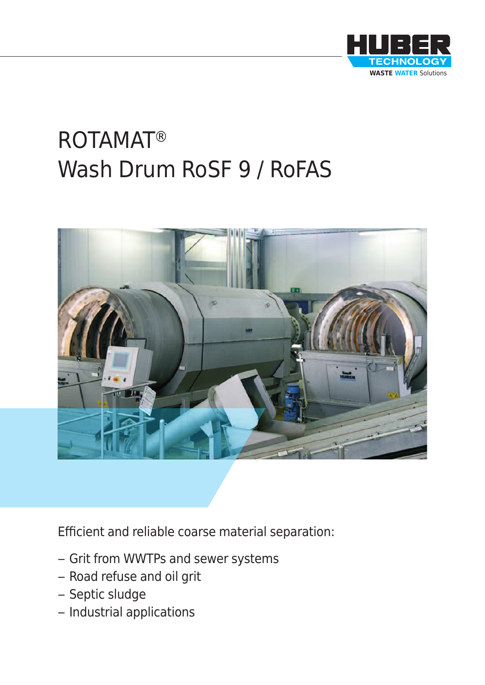

# ROTAMAT® Wash Drum RoSF 9 / RoFAS



Efficient and reliable coarse material separation:

- Grit from WWTPs and sewer systems
- Road refuse and oil grit
- Septic sludge
- Industrial applications